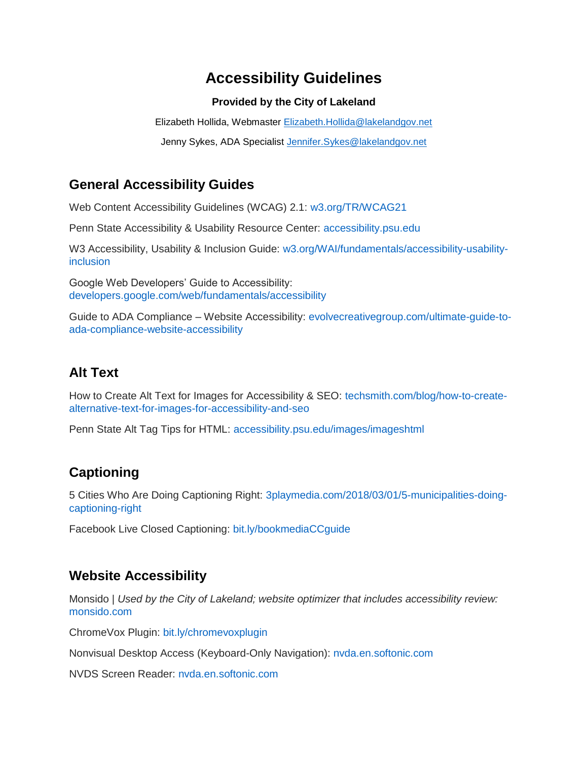# **Accessibility Guidelines**

#### **Provided by the City of Lakeland**

Elizabeth Hollida, Webmaster [Elizabeth.Hollida@lakelandgov.net](mailto:Elizabeth.Hollida@lakelandgov.net)

Jenny Sykes, ADA Specialist Jennifer. Sykes@lakelandgov.net

### **General Accessibility Guides**

Web Content Accessibility Guidelines (WCAG) 2.1: [w3.org/TR/WCAG21](https://nam03.safelinks.protection.outlook.com/?url=https%3A%2F%2Fwww.w3.org%2FTR%2FWCAG21%2F&data=01%7C01%7CHMcPhail%40flcities.com%7C8545b87eda04494a619f08d6c754a624%7C2d642e08dfa4427d864657d423c7c43e%7C0&sdata=rV8jDivERcMFk2t5wMKT7C%2Fv4Kt0Z8vHcM8GUPRgiJE%3D&reserved=0)

Penn State Accessibility & Usability Resource Center: [accessibility.psu.edu](https://nam03.safelinks.protection.outlook.com/?url=http%3A%2F%2Faccessibility.psu.edu%2F&data=01%7C01%7CHMcPhail%40flcities.com%7C8545b87eda04494a619f08d6c754a624%7C2d642e08dfa4427d864657d423c7c43e%7C0&sdata=zwIvhbzd1Y5HNDFWlpbK%2BBTVUoofVhOgWaikeF4N0xk%3D&reserved=0)

W3 Accessibility, Usability & Inclusion Guide: [w3.org/WAI/fundamentals/accessibility-usability](https://nam03.safelinks.protection.outlook.com/?url=https%3A%2F%2Fwww.w3.org%2FWAI%2Ffundamentals%2Faccessibility-usability-inclusion%2F&data=01%7C01%7CHMcPhail%40flcities.com%7C8545b87eda04494a619f08d6c754a624%7C2d642e08dfa4427d864657d423c7c43e%7C0&sdata=h%2FMTW1uxvswxbB3%2FXzu%2Bx0bD%2FzXQs8nmLIZFM08KhWc%3D&reserved=0)[inclusion](https://nam03.safelinks.protection.outlook.com/?url=https%3A%2F%2Fwww.w3.org%2FWAI%2Ffundamentals%2Faccessibility-usability-inclusion%2F&data=01%7C01%7CHMcPhail%40flcities.com%7C8545b87eda04494a619f08d6c754a624%7C2d642e08dfa4427d864657d423c7c43e%7C0&sdata=h%2FMTW1uxvswxbB3%2FXzu%2Bx0bD%2FzXQs8nmLIZFM08KhWc%3D&reserved=0)

Google Web Developers' Guide to Accessibility: [developers.google.com/web/fundamentals/accessibility](https://nam03.safelinks.protection.outlook.com/?url=https%3A%2F%2Fdevelopers.google.com%2Fweb%2Ffundamentals%2Faccessibility%2F&data=01%7C01%7CHMcPhail%40flcities.com%7C8545b87eda04494a619f08d6c754a624%7C2d642e08dfa4427d864657d423c7c43e%7C0&sdata=%2FLYgz6LbrQO8xe69VRKyXOuCQ3%2FKQSd03YPQtoP18xI%3D&reserved=0)

Guide to ADA Compliance – Website Accessibility: [evolvecreativegroup.com/ultimate-guide-to](https://nam03.safelinks.protection.outlook.com/?url=https%3A%2F%2Fwww.evolvecreativegroup.com%2Fultimate-guide-to-ada-compliance-website-accessibility%2F&data=01%7C01%7CHMcPhail%40flcities.com%7C8545b87eda04494a619f08d6c754a624%7C2d642e08dfa4427d864657d423c7c43e%7C0&sdata=XJrb67xru%2FU4F41Ky7ybgGzUoMYe3jUK%2BiEzaw7qc%2Bc%3D&reserved=0)[ada-compliance-website-accessibility](https://nam03.safelinks.protection.outlook.com/?url=https%3A%2F%2Fwww.evolvecreativegroup.com%2Fultimate-guide-to-ada-compliance-website-accessibility%2F&data=01%7C01%7CHMcPhail%40flcities.com%7C8545b87eda04494a619f08d6c754a624%7C2d642e08dfa4427d864657d423c7c43e%7C0&sdata=XJrb67xru%2FU4F41Ky7ybgGzUoMYe3jUK%2BiEzaw7qc%2Bc%3D&reserved=0)

#### **Alt Text**

How to Create Alt Text for Images for Accessibility & SEO: [techsmith.com/blog/how-to-create](https://nam03.safelinks.protection.outlook.com/?url=https%3A%2F%2Fwww.techsmith.com%2Fblog%2Fhow-to-create-alternative-text-for-images-for-accessibility-and-seo%2F&data=01%7C01%7CHMcPhail%40flcities.com%7C8545b87eda04494a619f08d6c754a624%7C2d642e08dfa4427d864657d423c7c43e%7C0&sdata=IhscE9ZUgmslPcR449ZUD3GNRT9nBtW5qG%2FAJH70jQk%3D&reserved=0)[alternative-text-for-images-for-accessibility-and-seo](https://nam03.safelinks.protection.outlook.com/?url=https%3A%2F%2Fwww.techsmith.com%2Fblog%2Fhow-to-create-alternative-text-for-images-for-accessibility-and-seo%2F&data=01%7C01%7CHMcPhail%40flcities.com%7C8545b87eda04494a619f08d6c754a624%7C2d642e08dfa4427d864657d423c7c43e%7C0&sdata=IhscE9ZUgmslPcR449ZUD3GNRT9nBtW5qG%2FAJH70jQk%3D&reserved=0)

Penn State Alt Tag Tips for HTML: [accessibility.psu.edu/images/imageshtml](https://nam03.safelinks.protection.outlook.com/?url=http%3A%2F%2Faccessibility.psu.edu%2Fimages%2Fimageshtml%2F&data=01%7C01%7CHMcPhail%40flcities.com%7C8545b87eda04494a619f08d6c754a624%7C2d642e08dfa4427d864657d423c7c43e%7C0&sdata=hqFxYdeX117ZrvuZXjPV4M%2BL2rWCPvtjTLU0qeHs14Y%3D&reserved=0)

## **Captioning**

5 Cities Who Are Doing Captioning Right: [3playmedia.com/2018/03/01/5-municipalities-doing](https://nam03.safelinks.protection.outlook.com/?url=https%3A%2F%2Fwww.3playmedia.com%2F2018%2F03%2F01%2F5-municipalities-doing-captioning-right%2F&data=01%7C01%7CHMcPhail%40flcities.com%7C8545b87eda04494a619f08d6c754a624%7C2d642e08dfa4427d864657d423c7c43e%7C0&sdata=6KtGxgx6NvIzI0994I8XKfKQ07qZypUiFSuPNCxpBBM%3D&reserved=0)[captioning-right](https://nam03.safelinks.protection.outlook.com/?url=https%3A%2F%2Fwww.3playmedia.com%2F2018%2F03%2F01%2F5-municipalities-doing-captioning-right%2F&data=01%7C01%7CHMcPhail%40flcities.com%7C8545b87eda04494a619f08d6c754a624%7C2d642e08dfa4427d864657d423c7c43e%7C0&sdata=6KtGxgx6NvIzI0994I8XKfKQ07qZypUiFSuPNCxpBBM%3D&reserved=0)

Facebook Live Closed Captioning: [bit.ly/bookmediaCCguide](https://nam03.safelinks.protection.outlook.com/?url=http%3A%2F%2Fbit.ly%2FbookmediaCCguide&data=01%7C01%7CHMcPhail%40flcities.com%7C8545b87eda04494a619f08d6c754a624%7C2d642e08dfa4427d864657d423c7c43e%7C0&sdata=0cTV2%2Be2cTB2Uv7ZM3wCSzNIl53PjjENEY0D62GGNr8%3D&reserved=0)

#### **Website Accessibility**

Monsido | *Used by the City of Lakeland; website optimizer that includes accessibility review:*  [monsido.com](https://nam03.safelinks.protection.outlook.com/?url=http%3A%2F%2Fwww.monsido.com&data=01%7C01%7CHMcPhail%40flcities.com%7C8545b87eda04494a619f08d6c754a624%7C2d642e08dfa4427d864657d423c7c43e%7C0&sdata=eUz3z0Qt398s348gbWneWrxauJ0dsOrP2ebB0IlsRK8%3D&reserved=0)

ChromeVox Plugin: [bit.ly/chromevoxplugin](https://nam03.safelinks.protection.outlook.com/?url=http%3A%2F%2Fbit.ly%2Fchromevoxplugin&data=01%7C01%7CHMcPhail%40flcities.com%7C8545b87eda04494a619f08d6c754a624%7C2d642e08dfa4427d864657d423c7c43e%7C0&sdata=QrZvl8eftpKxokcdLvi%2BhFfsRMAUWeecgeC%2FCcUCzoY%3D&reserved=0)

Nonvisual Desktop Access (Keyboard-Only Navigation): [nvda.en.softonic.com](https://nam03.safelinks.protection.outlook.com/?url=https%3A%2F%2Fnvda.en.softonic.com%2F&data=01%7C01%7CHMcPhail%40flcities.com%7C8545b87eda04494a619f08d6c754a624%7C2d642e08dfa4427d864657d423c7c43e%7C0&sdata=uxsV%2BL88es0nvmIyy3Oytd25md5t71Y88kpk6hxuAM8%3D&reserved=0)

NVDS Screen Reader: [nvda.en.softonic.com](https://nam03.safelinks.protection.outlook.com/?url=https%3A%2F%2Fnvda.en.softonic.com%2F&data=01%7C01%7CHMcPhail%40flcities.com%7C8545b87eda04494a619f08d6c754a624%7C2d642e08dfa4427d864657d423c7c43e%7C0&sdata=uxsV%2BL88es0nvmIyy3Oytd25md5t71Y88kpk6hxuAM8%3D&reserved=0)